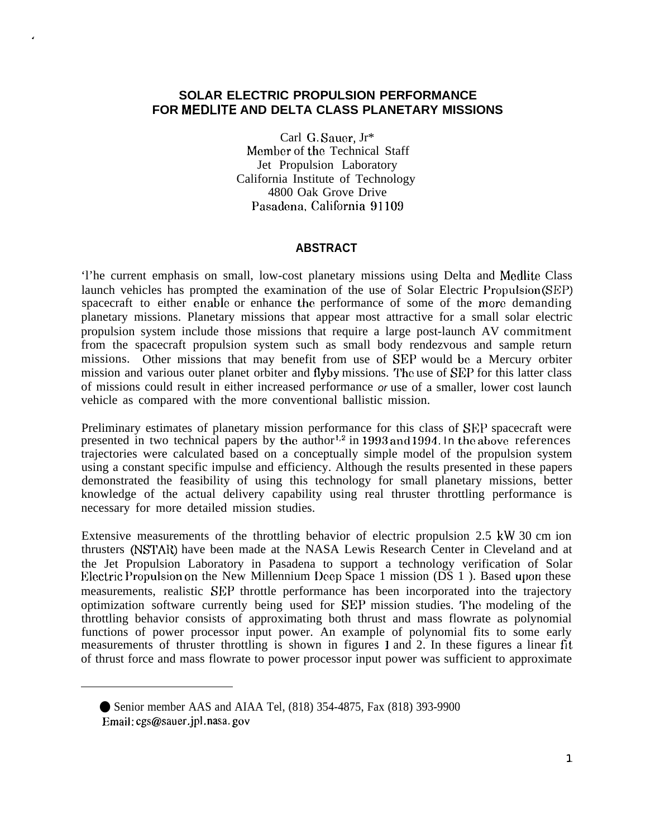## **SOLAR ELECTRIC PROPULSION PERFORMANCE FOR MEDLITE AND DELTA CLASS PLANETARY MISSIONS**

.

Carl G. Saucr, Jr\* Member of the Technical Staff Jet Propulsion Laboratory California Institute of Technology 4800 Oak Grove Drive Pasadena, California 91109

## **ABSTRACT**

'l'he current emphasis on small, low-cost planetary missions using Delta and Medlite Class launch vehicles has prompted the examination of the use of Solar Electric Propulsion (SEP) spacecraft to either enable or enhance the performance of some of the more demanding planetary missions. Planetary missions that appear most attractive for a small solar electric propulsion system include those missions that require a large post-launch AV commitment from the spacecraft propulsion system such as small body rendezvous and sample return missions. Other missions that may benefit from use of SEP would be a Mercury orbiter mission and various outer planet orbiter and flyby missions. The use of SEP for this latter class of missions could result in either increased performance or use of a smaller, lower cost launch vehicle as compared with the more conventional ballistic mission.

Preliminary estimates of planetary mission performance for this class of SEP spacecraft were presented in two technical papers by the author<sup>1,2</sup> in 1993 and 1994. In the above references trajectories were calculated based on a conceptually simple model of the propulsion system using a constant specific impulse and efficiency. Although the results presented in these papers demonstrated the feasibility of using this technology for small planetary missions, better knowledge of the actual delivery capability using real thruster throttling performance is necessary for more detailed mission studies.

Extensive measurements of the throttling behavior of electric propulsion 2.5 kW 30 cm ion thrusters (NSTAR) have been made at the NASA Lewis Research Center in Cleveland and at the Jet Propulsion Laboratory in Pasadena to support a technology verification of Solar Electric Propulsion on the New Millennium Deep Space 1 mission ( $\overrightarrow{DS}$  1). Based upon these measurements, realistic SEP throttle performance has been incorporated into the trajectory optimization software currently being used for SEP mission studies. The modeling of the throttling behavior consists of approximating both thrust and mass flowrate as polynomial functions of power processor input power. An example of polynomial fits to some early measurements of thruster throttling is shown in figures I and 2. In these figures a linear fit of thrust force and mass flowrate to power processor input power was sufficient to approximate

<sup>●</sup> Senior member AAS and AIAA Tel, (818) 354-4875, Fax (818) 393-9900 Email: cgs@sauer.jpl.nasa. gov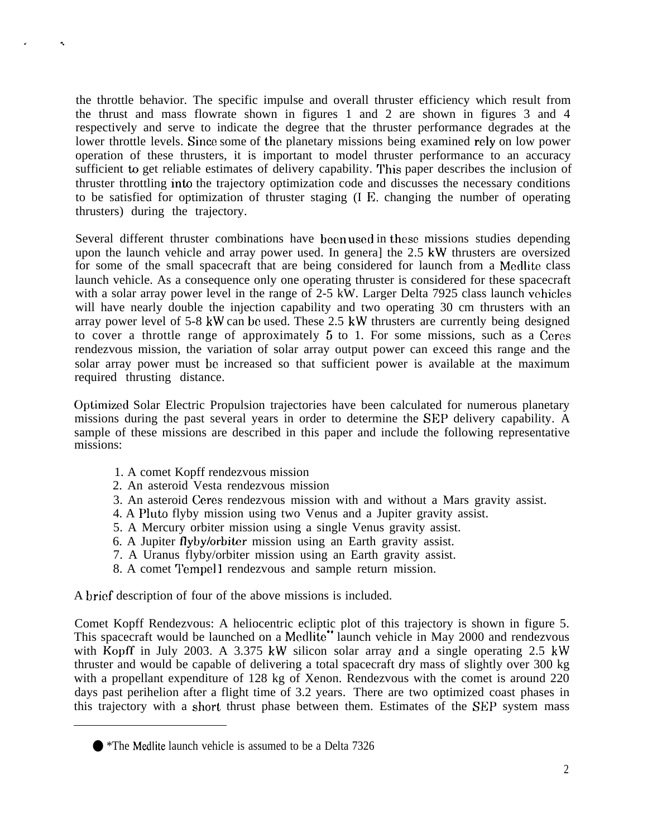the throttle behavior. The specific impulse and overall thruster efficiency which result from the thrust and mass flowrate shown in figures 1 and 2 are shown in figures 3 and 4 respectively and serve to indicate the degree that the thruster performance degrades at the lower throttle levels. Since some of the planetary missions being examined rely on low power operation of these thrusters, it is important to model thruster performance to an accuracy sufficient to get reliable estimates of delivery capability. This paper describes the inclusion of thruster throttling into the trajectory optimization code and discusses the necessary conditions to be satisfied for optimization of thruster staging (I E. changing the number of operating thrusters) during the trajectory.

Several different thruster combinations have been used in these missions studies depending upon the launch vehicle and array power used. In genera] the 2.5 kW thrusters are oversized for some of the small spacecraft that are being considered for launch from a Medlite class launch vehicle. As a consequence only one operating thruster is considered for these spacecraft with a solar array power level in the range of 2-5 kW. Larger Delta 7925 class launch vehicles will have nearly double the injection capability and two operating 30 cm thrusters with an array power level of 5-8 kW can be used. These 2.5 kW thrusters are currently being designed to cover a throttle range of approximately 5 to 1. For some missions, such as a Ceres rendezvous mission, the variation of solar array output power can exceed this range and the solar array power must be increased so that sufficient power is available at the maximum required thrusting distance.

Optimizecl Solar Electric Propulsion trajectories have been calculated for numerous planetary missions during the past several years in order to determine the SEP delivery capability. A sample of these missions are described in this paper and include the following representative missions:

1. A comet Kopff rendezvous mission

. .

- 2. An asteroid Vesta rendezvous mission
- 3. An asteroid Ceres rendezvous mission with and without a Mars gravity assist.
- 4. A Pluto flyby mission using two Venus and a Jupiter gravity assist.
- 5. A Mercury orbiter mission using a single Venus gravity assist.
- 6. A Jupiter flybylorbiter mission using an Earth gravity assist.
- 7. A Uranus flyby/orbiter mission using an Earth gravity assist.
- 8. A comet Tempel 1 rendezvous and sample return mission.

A brief description of four of the above missions is included.

Comet Kopff Rendezvous: A heliocentric ecliptic plot of this trajectory is shown in figure 5. This spacecraft would be launched on a Medlite\*\* launch vehicle in May 2000 and rendezvous with Kopff in July 2003. A 3.375 kW silicon solar array and a single operating 2.5 kW thruster and would be capable of delivering a total spacecraft dry mass of slightly over 300 kg with a propellant expenditure of 128 kg of Xenon. Rendezvous with the comet is around 220 days past perihelion after a flight time of 3.2 years. There are two optimized coast phases in this trajectory with a short thrust phase between them. Estimates of the SEP system mass

<sup>● \*</sup>The Medlite launch vehicle is assumed to be a Delta 7326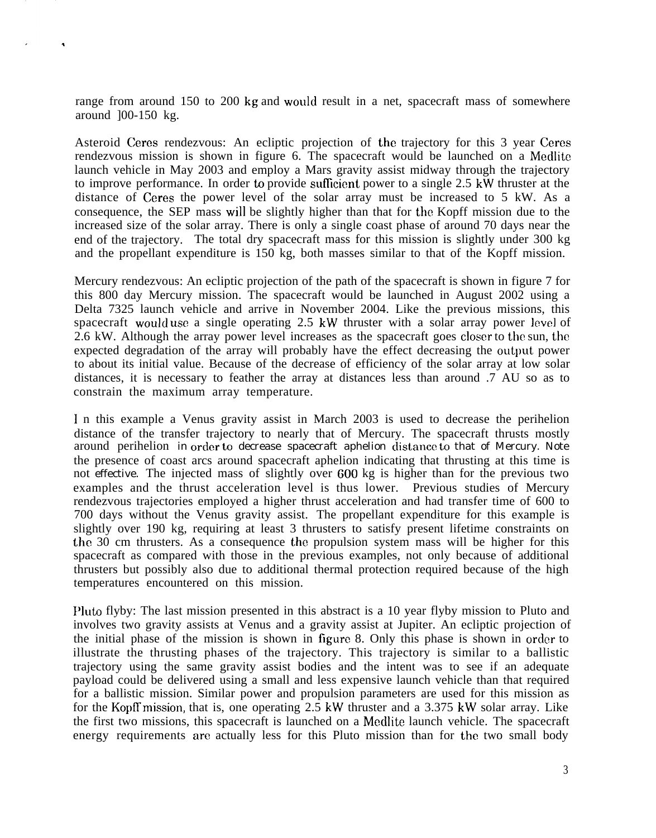range from around 150 to 200 kg and would result in a net, spacecraft mass of somewhere around ]00-150 kg.

Asteroid Ceres rendezvous: An ecliptic projection of the trajectory for this 3 year Ceres rendezvous mission is shown in figure 6. The spacecraft would be launched on a Medlite launch vehicle in May 2003 and employ a Mars gravity assist midway through the trajectory to improve performance. In order to provide sufllcient power to a single 2.5 kW thruster at the distance of Ceres the power level of the solar array must be increased to 5 kW. As a consequence, the SEP mass will be slightly higher than that for the Kopff mission due to the increased size of the solar array. There is only a single coast phase of around 70 days near the end of the trajectory. The total dry spacecraft mass for this mission is slightly under 300 kg and the propellant expenditure is 150 kg, both masses similar to that of the Kopff mission.

Mercury rendezvous: An ecliptic projection of the path of the spacecraft is shown in figure 7 for this 800 day Mercury mission. The spacecraft would be launched in August 2002 using a Delta 7325 launch vehicle and arrive in November 2004. Like the previous missions, this spacecraft would use a single operating 2.5 kW thruster with a solar array power level of 2.6 kW. Although the array power level increases as the spacecraft goes closer to the sun, the expected degradation of the array will probably have the effect decreasing the output power to about its initial value. Because of the decrease of efficiency of the solar array at low solar distances, it is necessary to feather the array at distances less than around .7 AU so as to constrain the maximum array temperature.

1 n this example a Venus gravity assist in March 2003 is used to decrease the perihelion distance of the transfer trajectory to nearly that of Mercury. The spacecraft thrusts mostly around perihelion in order to decrease spacecraft aphelion distance to that of Mercury. Note the presence of coast arcs around spacecraft aphelion indicating that thrusting at this time is not effective. The injected mass of slightly over 600 kg is higher than for the previous two examples and the thrust acceleration level is thus lower. Previous studies of Mercury rendezvous trajectories employed a higher thrust acceleration and had transfer time of 600 to 700 days without the Venus gravity assist. The propellant expenditure for this example is slightly over 190 kg, requiring at least 3 thrusters to satisfy present lifetime constraints on the 30 cm thrusters. As a consequence the propulsion system mass will be higher for this spacecraft as compared with those in the previous examples, not only because of additional thrusters but possibly also due to additional thermal protection required because of the high temperatures encountered on this mission.

Pluto flyby: The last mission presented in this abstract is a 10 year flyby mission to Pluto and involves two gravity assists at Venus and a gravity assist at Jupiter. An ecliptic projection of the initial phase of the mission is shown in figure 8. Only this phase is shown in order to illustrate the thrusting phases of the trajectory. This trajectory is similar to a ballistic trajectory using the same gravity assist bodies and the intent was to see if an adequate payload could be delivered using a small and less expensive launch vehicle than that required for a ballistic mission. Similar power and propulsion parameters are used for this mission as for the Kopff mission, that is, one operating 2.5 kW thruster and a 3.375 kW solar array. Like the first two missions, this spacecraft is launched on a Medlite launch vehicle. The spacecraft energy requirements are actually less for this Pluto mission than for the two small body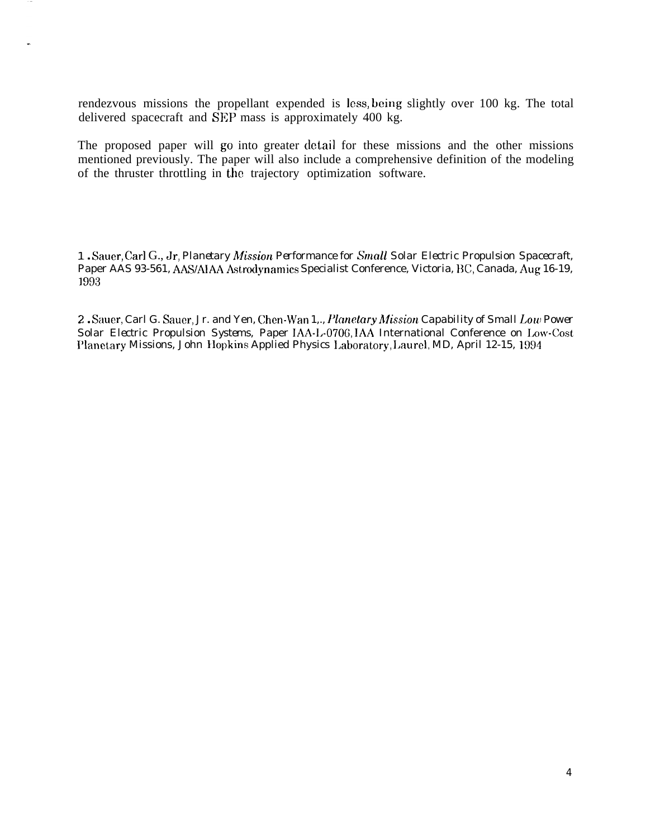rendezvous missions the propellant expended is less, being slightly over 100 kg. The total delivered spacecraft and SEP mass is approximately 400 kg.

The proposed paper will go into greater detail for these missions and the other missions mentioned previously. The paper will also include a comprehensive definition of the modeling of the thruster throttling in the trajectory optimization software.

1. Sauer, Carl G., Jr, Planetary Mission Performance for Small Solar Electric Propulsion Spacecraft, Paper AAS 93-561, AAS/AIAA Astrodynamics Specialist Conference, Victoria, BC, Canada, Aug 16-19, 1993

2. Sauer, Carl G. Sauer, Jr. and Yen, Chen-Wan 1,., Planetary Mission Capability of Small Low Power Solar Electric Propulsion Systems, Paper IAA-L-0706, IAA International Conference on Low-Cost Planetary Missions, John Hopkins Applied Physics Laboratory, Laurel, MD, April 12-15, 1994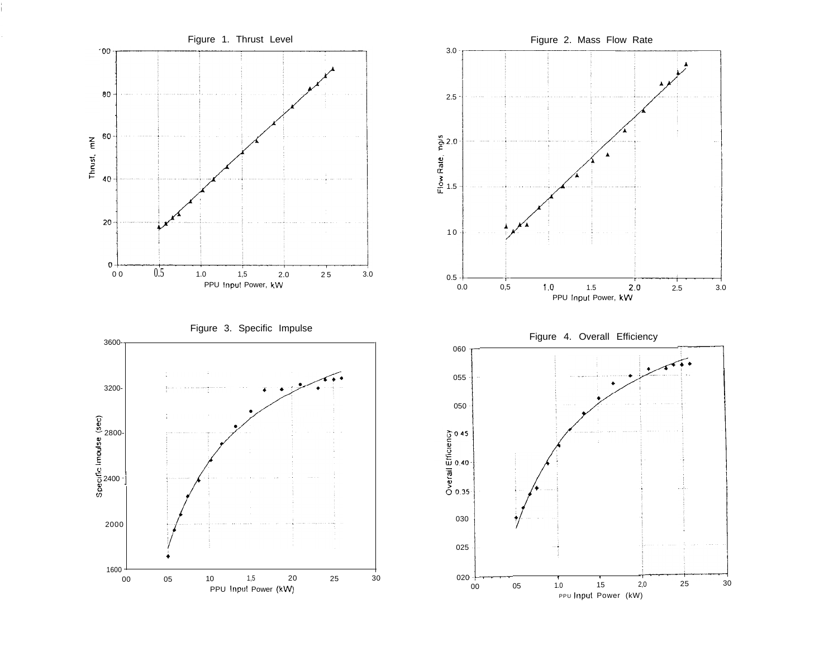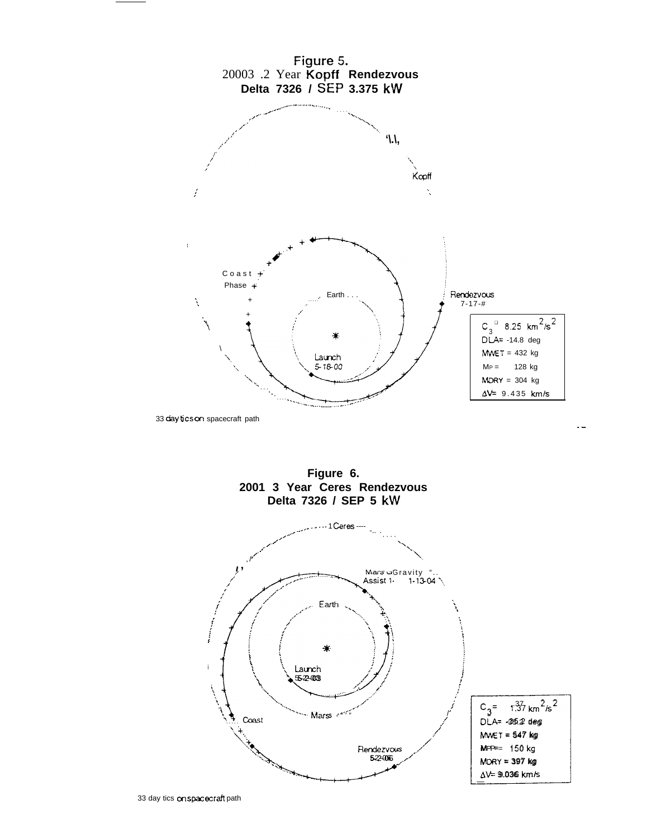

Figure 6. 2001 3 Year Ceres Rendezvous Delta 7326 / SEP 5 kW